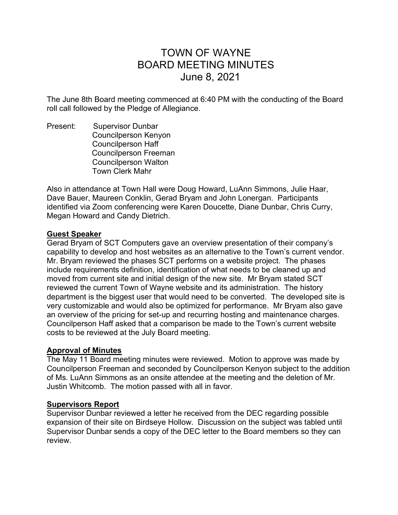# TOWN OF WAYNE BOARD MEETING MINUTES June 8, 2021

The June 8th Board meeting commenced at 6:40 PM with the conducting of the Board roll call followed by the Pledge of Allegiance.

Present: Supervisor Dunbar Councilperson Kenyon Councilperson Haff Councilperson Freeman Councilperson Walton Town Clerk Mahr

Also in attendance at Town Hall were Doug Howard, LuAnn Simmons, Julie Haar, Dave Bauer, Maureen Conklin, Gerad Bryam and John Lonergan. Participants identified via Zoom conferencing were Karen Doucette, Diane Dunbar, Chris Curry, Megan Howard and Candy Dietrich.

# Guest Speaker

Gerad Bryam of SCT Computers gave an overview presentation of their company's capability to develop and host websites as an alternative to the Town's current vendor. Mr. Bryam reviewed the phases SCT performs on a website project. The phases include requirements definition, identification of what needs to be cleaned up and moved from current site and initial design of the new site. Mr Bryam stated SCT reviewed the current Town of Wayne website and its administration. The history department is the biggest user that would need to be converted. The developed site is very customizable and would also be optimized for performance. Mr Bryam also gave an overview of the pricing for set-up and recurring hosting and maintenance charges. Councilperson Haff asked that a comparison be made to the Town's current website costs to be reviewed at the July Board meeting.

# Approval of Minutes

The May 11 Board meeting minutes were reviewed. Motion to approve was made by Councilperson Freeman and seconded by Councilperson Kenyon subject to the addition of Ms. LuAnn Simmons as an onsite attendee at the meeting and the deletion of Mr. Justin Whitcomb. The motion passed with all in favor.

# Supervisors Report

Supervisor Dunbar reviewed a letter he received from the DEC regarding possible expansion of their site on Birdseye Hollow. Discussion on the subject was tabled until Supervisor Dunbar sends a copy of the DEC letter to the Board members so they can review.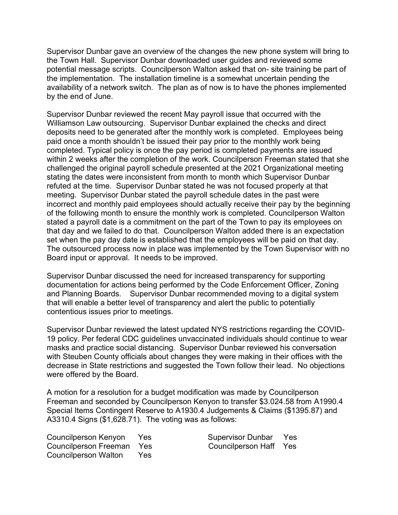Supervisor Dunbar gave an overview of the changes the new phone system will bring to the Town Hall. Supervisor Dunbar downloaded user guides and reviewed some potential message scripts. Councilperson Walton asked that on- site training be part of the implementation. The installation timeline is a somewhat uncertain pending the availability of a network switch. The plan as of now is to have the phones implemented by the end of June.

Supervisor Dunbar reviewed the recent May payroll issue that occurred with the Williamson Law outsourcing. Supervisor Dunbar explained the checks and direct deposits need to be generated after the monthly work is completed. Employees being paid once a month shouldn't be issued their pay prior to the monthly work being completed. Typical policy is once the pay period is completed payments are issued within 2 weeks after the completion of the work. Councilperson Freeman stated that she challenged the original payroll schedule presented at the 2021 Organizational meeting stating the dates were inconsistent from month to month which Supervisor Dunbar refuted at the time. Supervisor Dunbar stated he was not focused properly at that meeting. Supervisor Dunbar stated the payroll schedule dates in the past were incorrect and monthly paid employees should actually receive their pay by the beginning of the following month to ensure the monthly work is completed. Councilperson Walton stated a payroll date is a commitment on the part of the Town to pay its employees on that day and we failed to do that. Councilperson Walton added there is an expectation set when the pay day date is established that the employees will be paid on that day. The outsourced process now in place was implemented by the Town Supervisor with no Board input or approval. It needs to be improved.

Supervisor Dunbar discussed the need for increased transparency for supporting documentation for actions being performed by the Code Enforcement Officer, Zoning and Planning Boards. Supervisor Dunbar recommended moving to a digital system that will enable a better level of transparency and alert the public to potentially contentious issues prior to meetings.

Supervisor Dunbar reviewed the latest updated NYS restrictions regarding the COVID-19 policy. Per federal CDC guidelines unvaccinated individuals should continue to wear masks and practice social distancing. Supervisor Dunbar reviewed his conversation with Steuben County officials about changes they were making in their offices with the decrease in State restrictions and suggested the Town follow their lead. No objections were offered by the Board.

A motion for a resolution for a budget modification was made by Councilperson Freeman and seconded by Councilperson Kenyon to transfer \$3.024.58 from A1990.4 Special Items Contingent Reserve to A1930.4 Judgements & Claims (\$1395.87) and A3310.4 Signs (\$1,628.71). The voting was as follows:

Councilperson Kenyon Yes Supervisor Dunbar Yes Councilperson Freeman Yes Councilperson Haff Yes Councilperson Walton Yes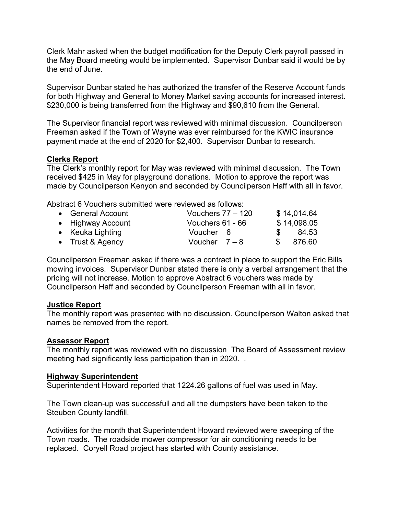Clerk Mahr asked when the budget modification for the Deputy Clerk payroll passed in the May Board meeting would be implemented. Supervisor Dunbar said it would be by the end of June.

Supervisor Dunbar stated he has authorized the transfer of the Reserve Account funds for both Highway and General to Money Market saving accounts for increased interest. \$230,000 is being transferred from the Highway and \$90,610 from the General.

The Supervisor financial report was reviewed with minimal discussion. Councilperson Freeman asked if the Town of Wayne was ever reimbursed for the KWIC insurance payment made at the end of 2020 for \$2,400. Supervisor Dunbar to research.

# Clerks Report

The Clerk's monthly report for May was reviewed with minimal discussion. The Town received \$425 in May for playground donations. Motion to approve the report was made by Councilperson Kenyon and seconded by Councilperson Haff with all in favor.

Abstract 6 Vouchers submitted were reviewed as follows:

| • General Account | Vouchers $77 - 120$ |               | \$14,014.64 |
|-------------------|---------------------|---------------|-------------|
| • Highway Account | Vouchers 61 - 66    |               | \$14,098.05 |
| • Keuka Lighting  | Voucher 6           | $\mathcal{S}$ | 84.53       |
| • Trust & Agency  | Voucher $7-8$       | SS.           | 876.60      |

Councilperson Freeman asked if there was a contract in place to support the Eric Bills mowing invoices. Supervisor Dunbar stated there is only a verbal arrangement that the pricing will not increase. Motion to approve Abstract 6 vouchers was made by Councilperson Haff and seconded by Councilperson Freeman with all in favor.

# Justice Report

The monthly report was presented with no discussion. Councilperson Walton asked that names be removed from the report.

# Assessor Report

The monthly report was reviewed with no discussion The Board of Assessment review meeting had significantly less participation than in 2020. .

# Highway Superintendent

Superintendent Howard reported that 1224.26 gallons of fuel was used in May.

The Town clean-up was successfull and all the dumpsters have been taken to the Steuben County landfill.

Activities for the month that Superintendent Howard reviewed were sweeping of the Town roads. The roadside mower compressor for air conditioning needs to be replaced. Coryell Road project has started with County assistance.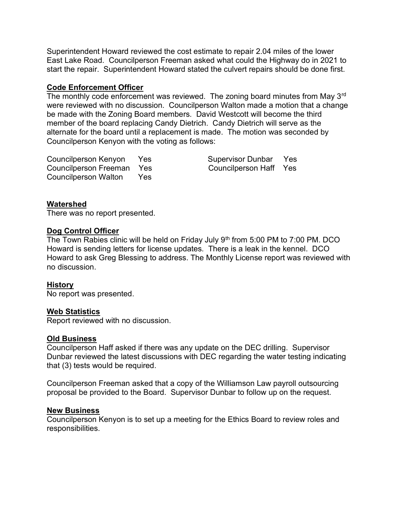Superintendent Howard reviewed the cost estimate to repair 2.04 miles of the lower East Lake Road. Councilperson Freeman asked what could the Highway do in 2021 to start the repair. Superintendent Howard stated the culvert repairs should be done first.

# Code Enforcement Officer

The monthly code enforcement was reviewed. The zoning board minutes from May 3<sup>rd</sup> were reviewed with no discussion. Councilperson Walton made a motion that a change be made with the Zoning Board members. David Westcott will become the third member of the board replacing Candy Dietrich. Candy Dietrich will serve as the alternate for the board until a replacement is made. The motion was seconded by Councilperson Kenyon with the voting as follows:

Councilperson Kenyon Yes Supervisor Dunbar Yes Councilperson Freeman Yes Councilperson Haff Yes Councilperson Walton Yes

# Watershed

There was no report presented.

# Dog Control Officer

The Town Rabies clinic will be held on Friday July  $9<sup>th</sup>$  from 5:00 PM to 7:00 PM. DCO Howard is sending letters for license updates. There is a leak in the kennel. DCO Howard to ask Greg Blessing to address. The Monthly License report was reviewed with no discussion.

# History

No report was presented.

# Web Statistics

Report reviewed with no discussion.

# Old Business

Councilperson Haff asked if there was any update on the DEC drilling. Supervisor Dunbar reviewed the latest discussions with DEC regarding the water testing indicating that (3) tests would be required.

Councilperson Freeman asked that a copy of the Williamson Law payroll outsourcing proposal be provided to the Board. Supervisor Dunbar to follow up on the request.

# New Business

Councilperson Kenyon is to set up a meeting for the Ethics Board to review roles and responsibilities.